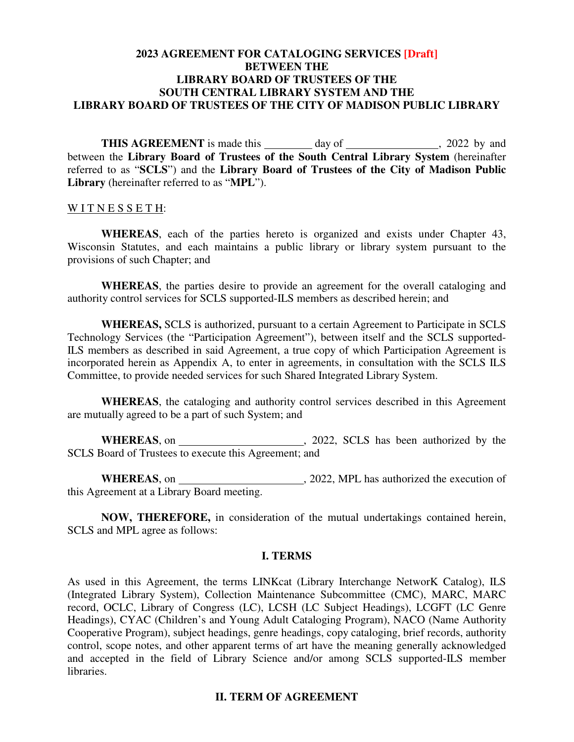## **2023 AGREEMENT FOR CATALOGING SERVICES [Draft] BETWEEN THE LIBRARY BOARD OF TRUSTEES OF THE SOUTH CENTRAL LIBRARY SYSTEM AND THE LIBRARY BOARD OF TRUSTEES OF THE CITY OF MADISON PUBLIC LIBRARY**

**THIS AGREEMENT** is made this day of , 2022 by and between the **Library Board of Trustees of the South Central Library System** (hereinafter referred to as "**SCLS**") and the **Library Board of Trustees of the City of Madison Public Library** (hereinafter referred to as "**MPL**").

#### WITNESSETH:

**WHEREAS**, each of the parties hereto is organized and exists under Chapter 43, Wisconsin Statutes, and each maintains a public library or library system pursuant to the provisions of such Chapter; and

**WHEREAS**, the parties desire to provide an agreement for the overall cataloging and authority control services for SCLS supported-ILS members as described herein; and

**WHEREAS,** SCLS is authorized, pursuant to a certain Agreement to Participate in SCLS Technology Services (the "Participation Agreement"), between itself and the SCLS supported-ILS members as described in said Agreement, a true copy of which Participation Agreement is incorporated herein as Appendix A, to enter in agreements, in consultation with the SCLS ILS Committee, to provide needed services for such Shared Integrated Library System.

**WHEREAS**, the cataloging and authority control services described in this Agreement are mutually agreed to be a part of such System; and

**WHEREAS**, on , 2022, SCLS has been authorized by the SCLS Board of Trustees to execute this Agreement; and

**WHEREAS**, on , 2022, MPL has authorized the execution of this Agreement at a Library Board meeting.

**NOW, THEREFORE,** in consideration of the mutual undertakings contained herein, SCLS and MPL agree as follows:

#### **I. TERMS**

As used in this Agreement, the terms LINKcat (Library Interchange NetworK Catalog), ILS (Integrated Library System), Collection Maintenance Subcommittee (CMC), MARC, MARC record, OCLC, Library of Congress (LC), LCSH (LC Subject Headings), LCGFT (LC Genre Headings), CYAC (Children's and Young Adult Cataloging Program), NACO (Name Authority Cooperative Program), subject headings, genre headings, copy cataloging, brief records, authority control, scope notes, and other apparent terms of art have the meaning generally acknowledged and accepted in the field of Library Science and/or among SCLS supported-ILS member libraries.

#### **II. TERM OF AGREEMENT**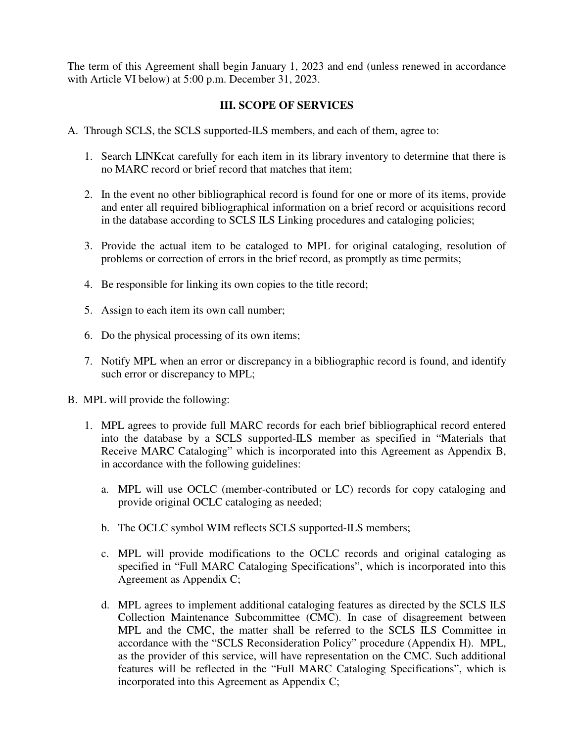The term of this Agreement shall begin January 1, 2023 and end (unless renewed in accordance with Article VI below) at 5:00 p.m. December 31, 2023.

# **III. SCOPE OF SERVICES**

- A. Through SCLS, the SCLS supported-ILS members, and each of them, agree to:
	- 1. Search LINKcat carefully for each item in its library inventory to determine that there is no MARC record or brief record that matches that item;
	- 2. In the event no other bibliographical record is found for one or more of its items, provide and enter all required bibliographical information on a brief record or acquisitions record in the database according to SCLS ILS Linking procedures and cataloging policies;
	- 3. Provide the actual item to be cataloged to MPL for original cataloging, resolution of problems or correction of errors in the brief record, as promptly as time permits;
	- 4. Be responsible for linking its own copies to the title record;
	- 5. Assign to each item its own call number;
	- 6. Do the physical processing of its own items;
	- 7. Notify MPL when an error or discrepancy in a bibliographic record is found, and identify such error or discrepancy to MPL;
- B. MPL will provide the following:
	- 1. MPL agrees to provide full MARC records for each brief bibliographical record entered into the database by a SCLS supported-ILS member as specified in "Materials that Receive MARC Cataloging" which is incorporated into this Agreement as Appendix B, in accordance with the following guidelines:
		- a. MPL will use OCLC (member-contributed or LC) records for copy cataloging and provide original OCLC cataloging as needed;
		- b. The OCLC symbol WIM reflects SCLS supported-ILS members;
		- c. MPL will provide modifications to the OCLC records and original cataloging as specified in "Full MARC Cataloging Specifications", which is incorporated into this Agreement as Appendix C;
		- d. MPL agrees to implement additional cataloging features as directed by the SCLS ILS Collection Maintenance Subcommittee (CMC). In case of disagreement between MPL and the CMC, the matter shall be referred to the SCLS ILS Committee in accordance with the "SCLS Reconsideration Policy" procedure (Appendix H). MPL, as the provider of this service, will have representation on the CMC. Such additional features will be reflected in the "Full MARC Cataloging Specifications", which is incorporated into this Agreement as Appendix C;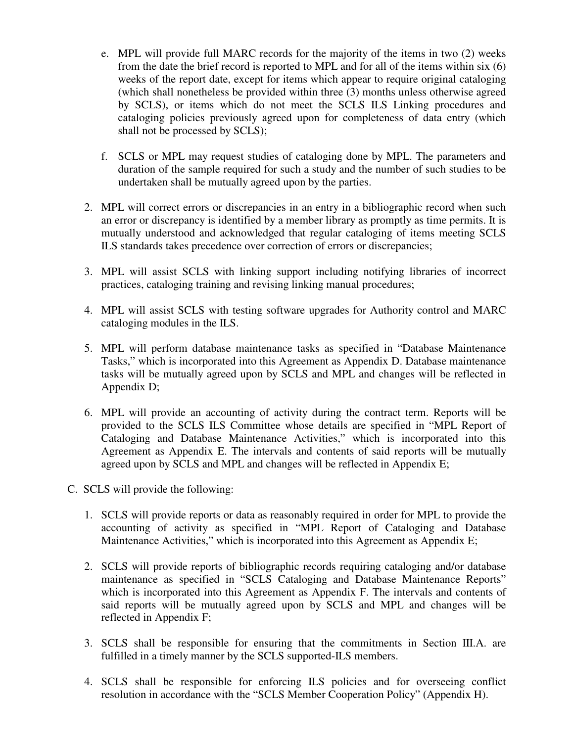- e. MPL will provide full MARC records for the majority of the items in two (2) weeks from the date the brief record is reported to MPL and for all of the items within six (6) weeks of the report date, except for items which appear to require original cataloging (which shall nonetheless be provided within three (3) months unless otherwise agreed by SCLS), or items which do not meet the SCLS ILS Linking procedures and cataloging policies previously agreed upon for completeness of data entry (which shall not be processed by SCLS);
- f. SCLS or MPL may request studies of cataloging done by MPL. The parameters and duration of the sample required for such a study and the number of such studies to be undertaken shall be mutually agreed upon by the parties.
- 2. MPL will correct errors or discrepancies in an entry in a bibliographic record when such an error or discrepancy is identified by a member library as promptly as time permits. It is mutually understood and acknowledged that regular cataloging of items meeting SCLS ILS standards takes precedence over correction of errors or discrepancies;
- 3. MPL will assist SCLS with linking support including notifying libraries of incorrect practices, cataloging training and revising linking manual procedures;
- 4. MPL will assist SCLS with testing software upgrades for Authority control and MARC cataloging modules in the ILS.
- 5. MPL will perform database maintenance tasks as specified in "Database Maintenance Tasks," which is incorporated into this Agreement as Appendix D. Database maintenance tasks will be mutually agreed upon by SCLS and MPL and changes will be reflected in Appendix D;
- 6. MPL will provide an accounting of activity during the contract term. Reports will be provided to the SCLS ILS Committee whose details are specified in "MPL Report of Cataloging and Database Maintenance Activities," which is incorporated into this Agreement as Appendix E. The intervals and contents of said reports will be mutually agreed upon by SCLS and MPL and changes will be reflected in Appendix E;
- C. SCLS will provide the following:
	- 1. SCLS will provide reports or data as reasonably required in order for MPL to provide the accounting of activity as specified in "MPL Report of Cataloging and Database Maintenance Activities," which is incorporated into this Agreement as Appendix E;
	- 2. SCLS will provide reports of bibliographic records requiring cataloging and/or database maintenance as specified in "SCLS Cataloging and Database Maintenance Reports" which is incorporated into this Agreement as Appendix F. The intervals and contents of said reports will be mutually agreed upon by SCLS and MPL and changes will be reflected in Appendix F;
	- 3. SCLS shall be responsible for ensuring that the commitments in Section III.A. are fulfilled in a timely manner by the SCLS supported-ILS members.
	- 4. SCLS shall be responsible for enforcing ILS policies and for overseeing conflict resolution in accordance with the "SCLS Member Cooperation Policy" (Appendix H).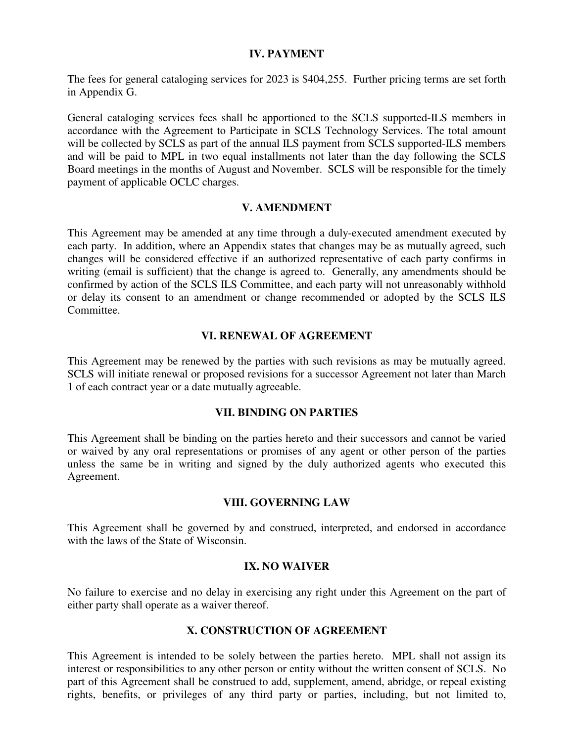### **IV. PAYMENT**

The fees for general cataloging services for 2023 is \$404,255. Further pricing terms are set forth in Appendix G.

General cataloging services fees shall be apportioned to the SCLS supported-ILS members in accordance with the Agreement to Participate in SCLS Technology Services. The total amount will be collected by SCLS as part of the annual ILS payment from SCLS supported-ILS members and will be paid to MPL in two equal installments not later than the day following the SCLS Board meetings in the months of August and November. SCLS will be responsible for the timely payment of applicable OCLC charges.

### **V. AMENDMENT**

This Agreement may be amended at any time through a duly-executed amendment executed by each party. In addition, where an Appendix states that changes may be as mutually agreed, such changes will be considered effective if an authorized representative of each party confirms in writing (email is sufficient) that the change is agreed to. Generally, any amendments should be confirmed by action of the SCLS ILS Committee, and each party will not unreasonably withhold or delay its consent to an amendment or change recommended or adopted by the SCLS ILS Committee.

## **VI. RENEWAL OF AGREEMENT**

This Agreement may be renewed by the parties with such revisions as may be mutually agreed. SCLS will initiate renewal or proposed revisions for a successor Agreement not later than March 1 of each contract year or a date mutually agreeable.

### **VII. BINDING ON PARTIES**

This Agreement shall be binding on the parties hereto and their successors and cannot be varied or waived by any oral representations or promises of any agent or other person of the parties unless the same be in writing and signed by the duly authorized agents who executed this Agreement.

#### **VIII. GOVERNING LAW**

This Agreement shall be governed by and construed, interpreted, and endorsed in accordance with the laws of the State of Wisconsin.

#### **IX. NO WAIVER**

No failure to exercise and no delay in exercising any right under this Agreement on the part of either party shall operate as a waiver thereof.

## **X. CONSTRUCTION OF AGREEMENT**

This Agreement is intended to be solely between the parties hereto. MPL shall not assign its interest or responsibilities to any other person or entity without the written consent of SCLS. No part of this Agreement shall be construed to add, supplement, amend, abridge, or repeal existing rights, benefits, or privileges of any third party or parties, including, but not limited to,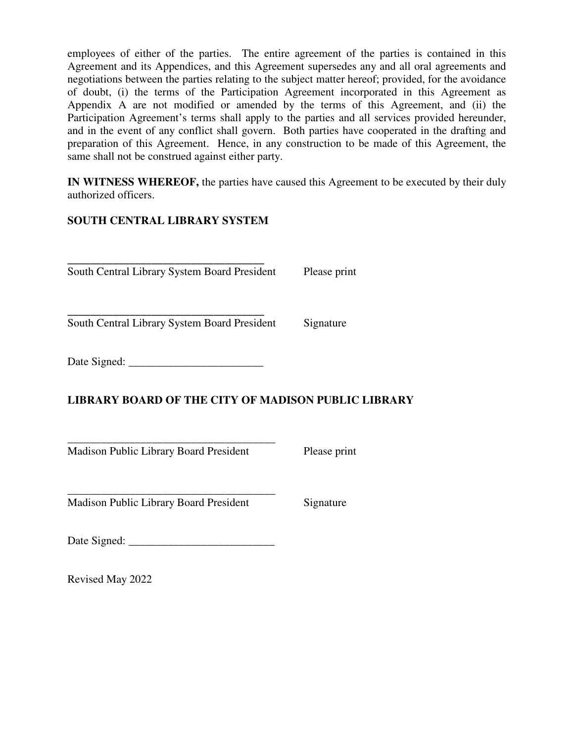employees of either of the parties. The entire agreement of the parties is contained in this Agreement and its Appendices, and this Agreement supersedes any and all oral agreements and negotiations between the parties relating to the subject matter hereof; provided, for the avoidance of doubt, (i) the terms of the Participation Agreement incorporated in this Agreement as Appendix A are not modified or amended by the terms of this Agreement, and (ii) the Participation Agreement's terms shall apply to the parties and all services provided hereunder, and in the event of any conflict shall govern. Both parties have cooperated in the drafting and preparation of this Agreement. Hence, in any construction to be made of this Agreement, the same shall not be construed against either party.

**IN WITNESS WHEREOF,** the parties have caused this Agreement to be executed by their duly authorized officers.

# **SOUTH CENTRAL LIBRARY SYSTEM**

**\_\_\_\_\_\_\_\_\_\_\_\_\_\_\_\_\_\_\_\_\_\_\_\_\_\_\_\_\_\_\_\_\_\_\_**  South Central Library System Board President Please print

**\_\_\_\_\_\_\_\_\_\_\_\_\_\_\_\_\_\_\_\_\_\_\_\_\_\_\_\_\_\_\_\_\_\_\_**  South Central Library System Board President Signature

Date Signed:

# **LIBRARY BOARD OF THE CITY OF MADISON PUBLIC LIBRARY**

\_\_\_\_\_\_\_\_\_\_\_\_\_\_\_\_\_\_\_\_\_\_\_\_\_\_\_\_\_\_\_\_\_\_\_\_\_ Madison Public Library Board President Please print

\_\_\_\_\_\_\_\_\_\_\_\_\_\_\_\_\_\_\_\_\_\_\_\_\_\_\_\_\_\_\_\_\_\_\_\_\_ Madison Public Library Board President Signature

Date Signed: \_\_\_\_\_\_\_\_\_\_\_\_\_\_\_\_\_\_\_\_\_\_\_\_\_\_

Revised May 2022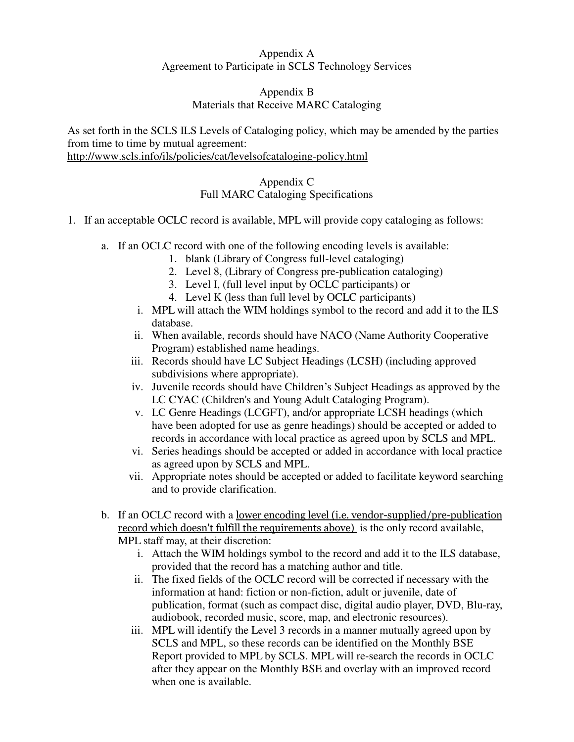# Appendix A Agreement to Participate in SCLS Technology Services

# Appendix B Materials that Receive MARC Cataloging

As set forth in the SCLS ILS Levels of Cataloging policy, which may be amended by the parties from time to time by mutual agreement:

http://www.scls.info/ils/policies/cat/levelsofcataloging-policy.html

# Appendix C Full MARC Cataloging Specifications

- 1. If an acceptable OCLC record is available, MPL will provide copy cataloging as follows:
	- a. If an OCLC record with one of the following encoding levels is available:
		- 1. blank (Library of Congress full-level cataloging)
		- 2. Level 8, (Library of Congress pre-publication cataloging)
		- 3. Level I, (full level input by OCLC participants) or
		- 4. Level K (less than full level by OCLC participants)
		- i. MPL will attach the WIM holdings symbol to the record and add it to the ILS database.
		- ii. When available, records should have NACO (Name Authority Cooperative Program) established name headings.
		- iii. Records should have LC Subject Headings (LCSH) (including approved subdivisions where appropriate).
		- iv. Juvenile records should have Children's Subject Headings as approved by the LC CYAC (Children's and Young Adult Cataloging Program).
		- v. LC Genre Headings (LCGFT), and/or appropriate LCSH headings (which have been adopted for use as genre headings) should be accepted or added to records in accordance with local practice as agreed upon by SCLS and MPL.
		- vi. Series headings should be accepted or added in accordance with local practice as agreed upon by SCLS and MPL.
		- vii. Appropriate notes should be accepted or added to facilitate keyword searching and to provide clarification.
	- b. If an OCLC record with a lower encoding level (i.e. vendor-supplied/pre-publication record which doesn't fulfill the requirements above) is the only record available, MPL staff may, at their discretion:
		- i. Attach the WIM holdings symbol to the record and add it to the ILS database, provided that the record has a matching author and title.
		- ii. The fixed fields of the OCLC record will be corrected if necessary with the information at hand: fiction or non-fiction, adult or juvenile, date of publication, format (such as compact disc, digital audio player, DVD, Blu-ray, audiobook, recorded music, score, map, and electronic resources).
		- iii. MPL will identify the Level 3 records in a manner mutually agreed upon by SCLS and MPL, so these records can be identified on the Monthly BSE Report provided to MPL by SCLS. MPL will re-search the records in OCLC after they appear on the Monthly BSE and overlay with an improved record when one is available.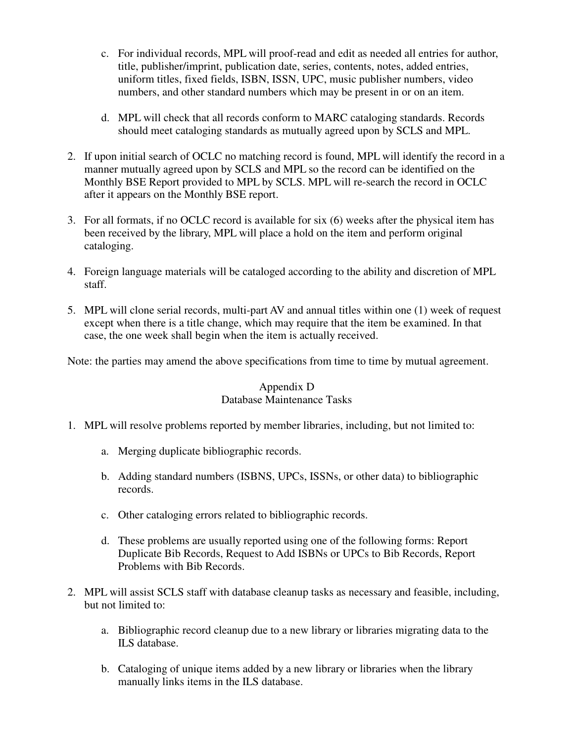- c. For individual records, MPL will proof-read and edit as needed all entries for author, title, publisher/imprint, publication date, series, contents, notes, added entries, uniform titles, fixed fields, ISBN, ISSN, UPC, music publisher numbers, video numbers, and other standard numbers which may be present in or on an item.
- d. MPL will check that all records conform to MARC cataloging standards. Records should meet cataloging standards as mutually agreed upon by SCLS and MPL.
- 2. If upon initial search of OCLC no matching record is found, MPL will identify the record in a manner mutually agreed upon by SCLS and MPL so the record can be identified on the Monthly BSE Report provided to MPL by SCLS. MPL will re-search the record in OCLC after it appears on the Monthly BSE report.
- 3. For all formats, if no OCLC record is available for six (6) weeks after the physical item has been received by the library, MPL will place a hold on the item and perform original cataloging.
- 4. Foreign language materials will be cataloged according to the ability and discretion of MPL staff.
- 5. MPL will clone serial records, multi-part AV and annual titles within one (1) week of request except when there is a title change, which may require that the item be examined. In that case, the one week shall begin when the item is actually received.

Note: the parties may amend the above specifications from time to time by mutual agreement.

## Appendix D Database Maintenance Tasks

- 1. MPL will resolve problems reported by member libraries, including, but not limited to:
	- a. Merging duplicate bibliographic records.
	- b. Adding standard numbers (ISBNS, UPCs, ISSNs, or other data) to bibliographic records.
	- c. Other cataloging errors related to bibliographic records.
	- d. These problems are usually reported using one of the following forms: Report Duplicate Bib Records, Request to Add ISBNs or UPCs to Bib Records, Report Problems with Bib Records.
- 2. MPL will assist SCLS staff with database cleanup tasks as necessary and feasible, including, but not limited to:
	- a. Bibliographic record cleanup due to a new library or libraries migrating data to the ILS database.
	- b. Cataloging of unique items added by a new library or libraries when the library manually links items in the ILS database.